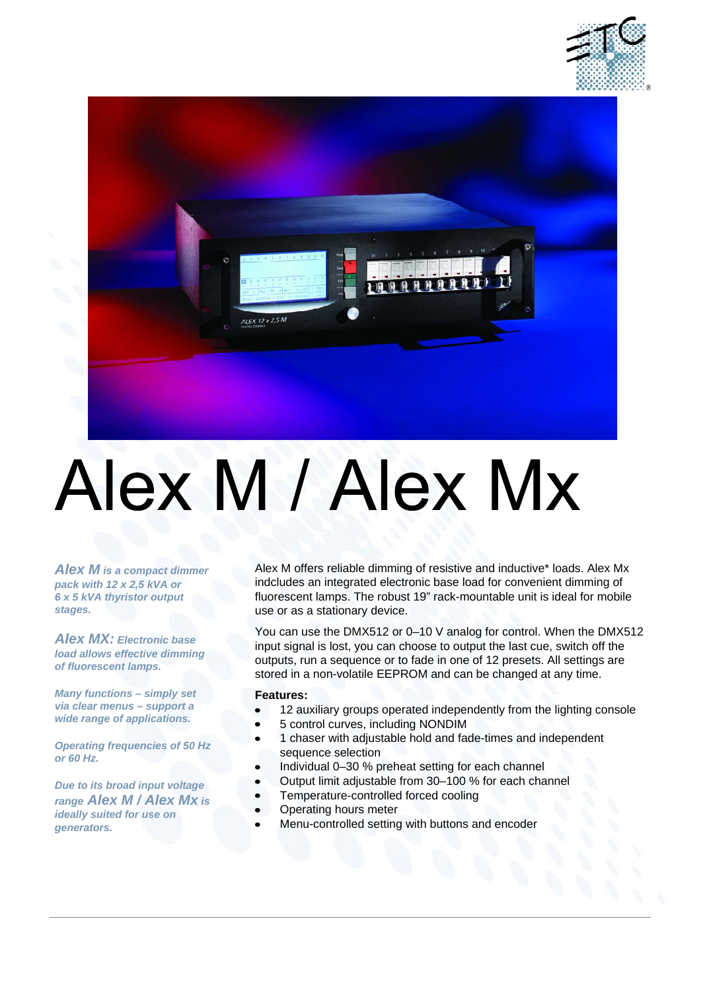



# Alex M / Alex Mx

*Alex M is a compact dimmer pack with 12 x 2,5 kVA or 6 x 5 kVA thyristor output stages.* 

*Alex MX: Electronic base load allows effective dimming of fluorescent lamps.*

*Many functions – simply set via clear menus – support a wide range of applications.*

*Operating frequencies of 50 Hz or 60 Hz.*

*Due to its broad input voltage range Alex M / Alex Mx is ideally suited for use on generators.*

Alex M offers reliable dimming of resistive and inductive\* loads. Alex Mx indcludes an integrated electronic base load for convenient dimming of fluorescent lamps. The robust 19" rack-mountable unit is ideal for mobile use or as a stationary device.

You can use the DMX512 or 0–10 V analog for control. When the DMX512 input signal is lost, you can choose to output the last cue, switch off the outputs, run a sequence or to fade in one of 12 presets. All settings are stored in a non-volatile EEPROM and can be changed at any time.

#### **Features:**

- 12 auxiliary groups operated independently from the lighting console  $\bullet$
- 5 control curves, including NONDIM
- 1 chaser with adjustable hold and fade-times and independent  $\bullet$ sequence selection
- Individual 0–30 % preheat setting for each channel
- Output limit adjustable from 30–100 % for each channel
- Temperature-controlled forced cooling
- Operating hours meter
- Menu-controlled setting with buttons and encoder